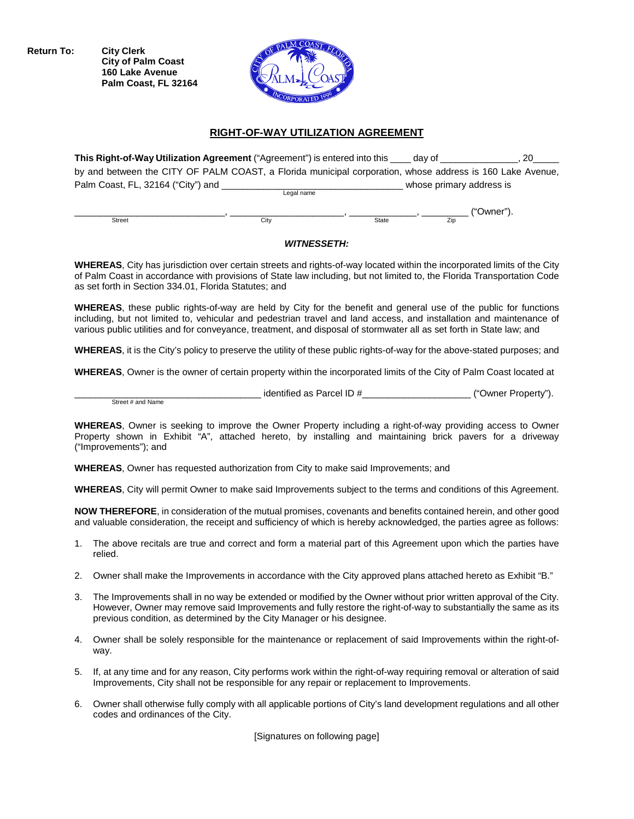**Return To: City Clerk City of Palm Coast 160 Lake Avenue Palm Coast, FL 32164**



### **RIGHT-OF-WAY UTILIZATION AGREEMENT**

| This Right-of-Way Utilization Agreement ("Agreement") is entered into this                                |            |       | dav of                   | 20         |
|-----------------------------------------------------------------------------------------------------------|------------|-------|--------------------------|------------|
| by and between the CITY OF PALM COAST, a Florida municipal corporation, whose address is 160 Lake Avenue, |            |       |                          |            |
| Palm Coast, FL, 32164 ("City") and                                                                        |            |       | whose primary address is |            |
|                                                                                                           | Legal name |       |                          |            |
|                                                                                                           |            |       |                          | ("Owner"). |
| Street                                                                                                    | Citv       | State | Zip                      |            |

# *WITNESSETH:*

**WHEREAS**, City has jurisdiction over certain streets and rights-of-way located within the incorporated limits of the City of Palm Coast in accordance with provisions of State law including, but not limited to, the Florida Transportation Code as set forth in Section 334.01, Florida Statutes; and

**WHEREAS**, these public rights-of-way are held by City for the benefit and general use of the public for functions including, but not limited to, vehicular and pedestrian travel and land access, and installation and maintenance of various public utilities and for conveyance, treatment, and disposal of stormwater all as set forth in State law; and

**WHEREAS**, it is the City's policy to preserve the utility of these public rights-of-way for the above-stated purposes; and

**WHEREAS**, Owner is the owner of certain property within the incorporated limits of the City of Palm Coast located at

 $\frac{1}{2}$  identified as Parcel ID  $\frac{1}{2}$   $\frac{1}{2}$   $\frac{1}{2}$   $\frac{1}{2}$   $\frac{1}{2}$   $\frac{1}{2}$   $\frac{1}{2}$   $\frac{1}{2}$   $\frac{1}{2}$   $\frac{1}{2}$   $\frac{1}{2}$   $\frac{1}{2}$   $\frac{1}{2}$   $\frac{1}{2}$   $\frac{1}{2}$   $\frac{1}{2}$   $\frac{1}{2}$   $\frac{1}{2}$   $\frac{1}{2$ Street # and Name

**WHEREAS**, Owner is seeking to improve the Owner Property including a right-of-way providing access to Owner Property shown in Exhibit "A", attached hereto, by installing and maintaining brick pavers for a driveway ("Improvements"); and

**WHEREAS**, Owner has requested authorization from City to make said Improvements; and

**WHEREAS**, City will permit Owner to make said Improvements subject to the terms and conditions of this Agreement.

**NOW THEREFORE**, in consideration of the mutual promises, covenants and benefits contained herein, and other good and valuable consideration, the receipt and sufficiency of which is hereby acknowledged, the parties agree as follows:

- 1. The above recitals are true and correct and form a material part of this Agreement upon which the parties have relied.
- 2. Owner shall make the Improvements in accordance with the City approved plans attached hereto as Exhibit "B."
- 3. The Improvements shall in no way be extended or modified by the Owner without prior written approval of the City. However, Owner may remove said Improvements and fully restore the right-of-way to substantially the same as its previous condition, as determined by the City Manager or his designee.
- 4. Owner shall be solely responsible for the maintenance or replacement of said Improvements within the right-ofway.
- 5. If, at any time and for any reason, City performs work within the right-of-way requiring removal or alteration of said Improvements, City shall not be responsible for any repair or replacement to Improvements.
- 6. Owner shall otherwise fully comply with all applicable portions of City's land development regulations and all other codes and ordinances of the City.

[Signatures on following page]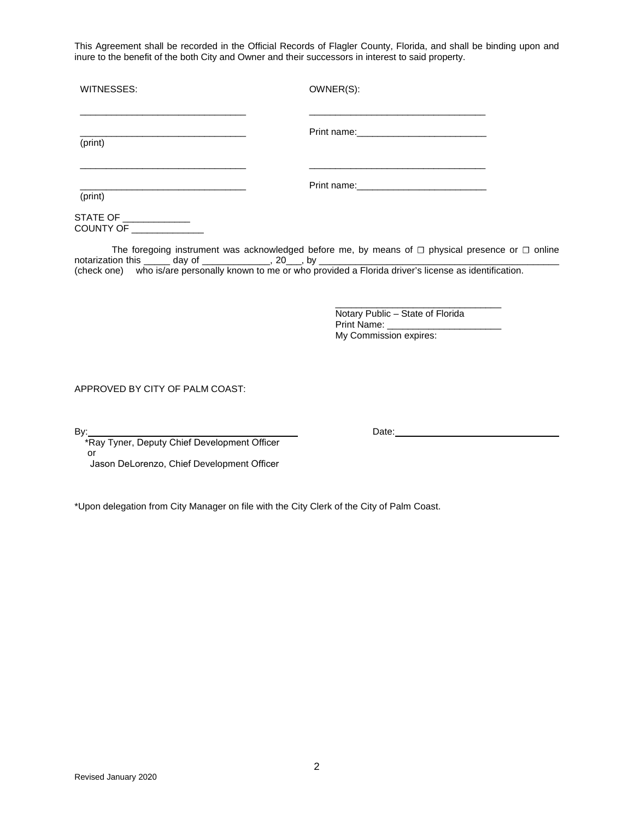This Agreement shall be recorded in the Official Records of Flagler County, Florida, and shall be binding upon and inure to the benefit of the both City and Owner and their successors in interest to said property.

| WITNESSES:                                                                                                                   | OWNER(S):                                                                                                                                                                                                                                                                                                      |
|------------------------------------------------------------------------------------------------------------------------------|----------------------------------------------------------------------------------------------------------------------------------------------------------------------------------------------------------------------------------------------------------------------------------------------------------------|
| (print)                                                                                                                      | <u> 1980 - Johann John Stoff, deutscher Stoffen und der Stoffen und der Stoffen und der Stoffen und der Stoffen un</u>                                                                                                                                                                                         |
| <u> 1990 - Johann Stein, mars an deus an deus Angels</u><br><u> 1980 - Johann Stoff, fransk politik (d. 1980)</u><br>(print) | <u> 1980 - Johann John Stone, mars eta biztanleria (</u>                                                                                                                                                                                                                                                       |
| notarization this ______ day of ______________, 20___, by _                                                                  | The foregoing instrument was acknowledged before me, by means of $\Box$ physical presence or $\Box$ online<br>notarization this ______ day of _______________, 20___, by ______________________<br>(check one) who is/are personally known to me or who provided a Florida driver's license as identification. |
|                                                                                                                              | Notary Public - State of Florida                                                                                                                                                                                                                                                                               |
| APPROVED BY CITY OF PALM COAST:                                                                                              |                                                                                                                                                                                                                                                                                                                |
| or<br>Jason DeLorenzo, Chief Development Officer                                                                             | Date: <u>Date:</u> 2004                                                                                                                                                                                                                                                                                        |
| *Upon delegation from City Manager on file with the City Clerk of the City of Palm Coast.                                    |                                                                                                                                                                                                                                                                                                                |
|                                                                                                                              |                                                                                                                                                                                                                                                                                                                |
|                                                                                                                              |                                                                                                                                                                                                                                                                                                                |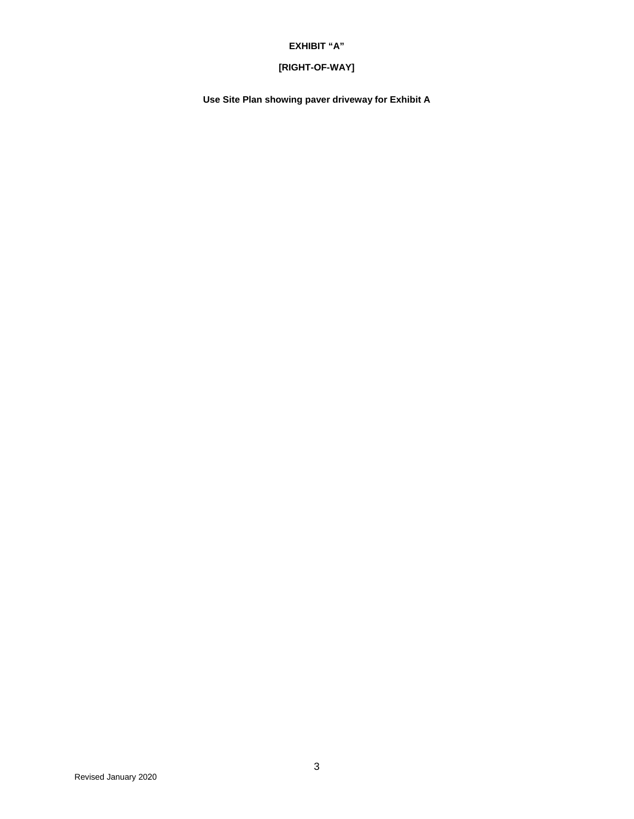### **EXHIBIT "A"**

## **[RIGHT-OF-WAY]**

**Use Site Plan showing paver driveway for Exhibit A**